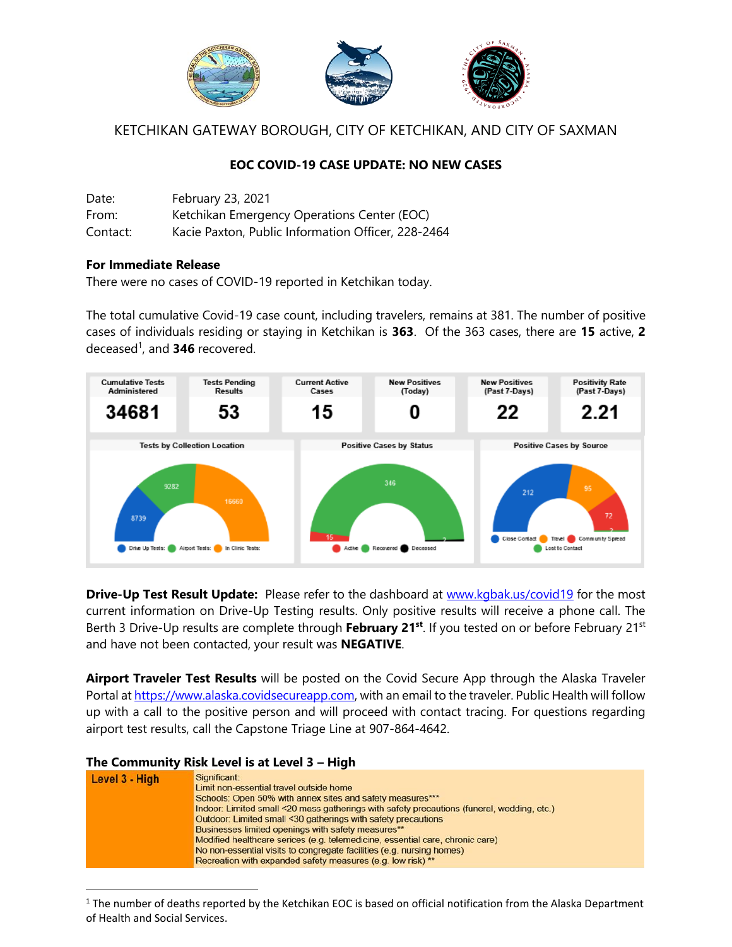

KETCHIKAN GATEWAY BOROUGH, CITY OF KETCHIKAN, AND CITY OF SAXMAN

# **EOC COVID-19 CASE UPDATE: NO NEW CASES**

| Date:    | February 23, 2021                                  |
|----------|----------------------------------------------------|
| From:    | Ketchikan Emergency Operations Center (EOC)        |
| Contact: | Kacie Paxton, Public Information Officer, 228-2464 |

## **For Immediate Release**

There were no cases of COVID-19 reported in Ketchikan today.

The total cumulative Covid-19 case count, including travelers, remains at 381. The number of positive cases of individuals residing or staying in Ketchikan is **363**. Of the 363 cases, there are **15** active, **2** deceased 1 , and **346** recovered.



**Drive-Up Test Result Update:** Please refer to the dashboard at [www.kgbak.us/covid19](http://www.kgbak.us/covid19) for the most current information on Drive-Up Testing results. Only positive results will receive a phone call. The Berth 3 Drive-Up results are complete through **February 21<sup>st</sup>**. If you tested on or before February 21<sup>st</sup> and have not been contacted, your result was **NEGATIVE**.

**Airport Traveler Test Results** will be posted on the Covid Secure App through the Alaska Traveler Portal a[t https://www.alaska.covidsecureapp.com,](https://www.alaska.covidsecureapp.com/) with an email to the traveler. Public Health will follow up with a call to the positive person and will proceed with contact tracing. For questions regarding airport test results, call the Capstone Triage Line at 907-864-4642.

### **The Community Risk Level is at Level 3 – High**

l



 $1$  The number of deaths reported by the Ketchikan EOC is based on official notification from the Alaska Department of Health and Social Services.